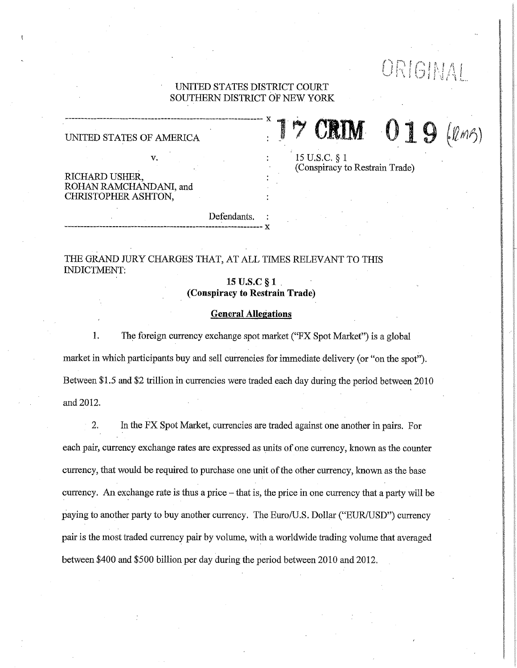# ORIGINAL

 $9$  (Rm $\epsilon$ )

## UNITED STATES DISTRICT COURT SOUTHERN DISTRICT OF NEW YORK

#### UNITED STATES OF AMERICA **<sup>x</sup>1 7 CIBI**

RICHARD USHER, ROHAN RAMCHANDANI, and CHRISTOPHER ASHTON,

v. 15 U.S.C. § 1 (Conspiracy to Restrain Trade)

Defendants,

THE GRAND JURY CHARGES THAT, AT ALL TIMES RELEVANT TO THIS INDICTMENT:

## **15 U.S.0 § 1 (Conspiracy to Restrain Trade)**

#### **General Allegations**

1. The foreign currency exchange spot market ("FX Spot Market") is a global market in which participants buy and sell currencies for immediate delivery (or "on the spot"). Between \$1.5 and \$2 trillion in currencies were traded each day during the period between 2010 and 2012.

2. In the FX Spot Market, currencies are traded against one another in pairs. For each pair, currency exchange rates are expressed as units of one currency, known as the counter currency, that would be required to purchase one unit of the other currency, known as the base currency. An exchange rate is thus a price — that is, the price in one currency that a party will be paying to another party to buy another currency. The Euro/U.S. Dollar ("EUR/USD") currency pair is the most traded currency pair by volume, with a worldwide trading volume that averaged between \$400 and \$500 billion per day during the period between 2010 and 2012,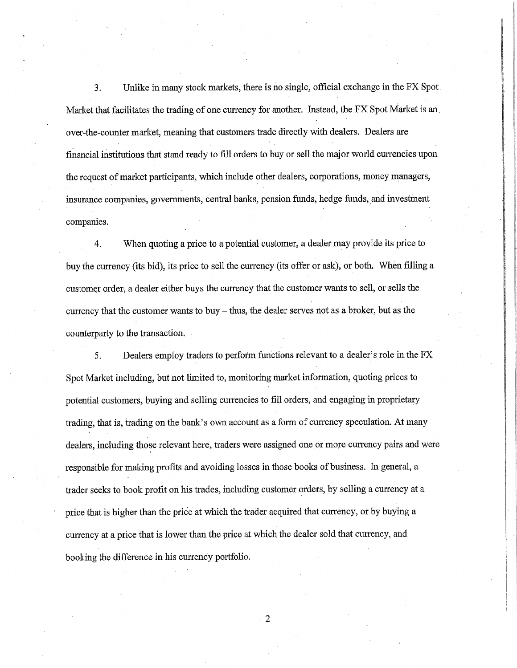3. Unlike in many stock markets, there is no single, official exchange in the FX Spot Market that facilitates the trading of one currency for another. Instead, the FX Spot Market is an over-the-counter market, meaning that customers trade directly with dealers. Dealers are financial institutions that stand ready to fill orders to buy or sell the major world currencies upon the request of market participants, which include other dealers, corporations, money managers, insurance companies, governments, central banks, pension funds, hedge funds, and investment companies,

4. When quoting a price to a potential customer, a dealer may provide its price to buy the currency (its bid), its price to sell the currency (its offer or ask), or both. When filling a customer order, a dealer either buys the currency that the customer wants to sell, or sells the currency that the customer wants to buy — thus, the dealer serves not as a broker, but as the counterparty to the transaction.

5. Dealers employ traders to perform functions relevant to a dealer's role in the FX Spot Market including, but not limited to, monitoring market information, quoting prices to potential customers, buying and selling currencies to fill orders, and engaging in proprietary trading, that is, trading on the bank's own account as a form of currency speculation. At many dealers, including those relevant here, traders were assigned one or more currency pairs and were responsible for making profits and avoiding losses in those books of business. In general, a trader seeks to book profit on his trades, including customer orders, by selling a currency at a price that is higher than the price at which the trader acquired that currency, or by buying a currency at a price that is lower than the price at which the dealer sold that currency, and booking the difference in his currency portfolio.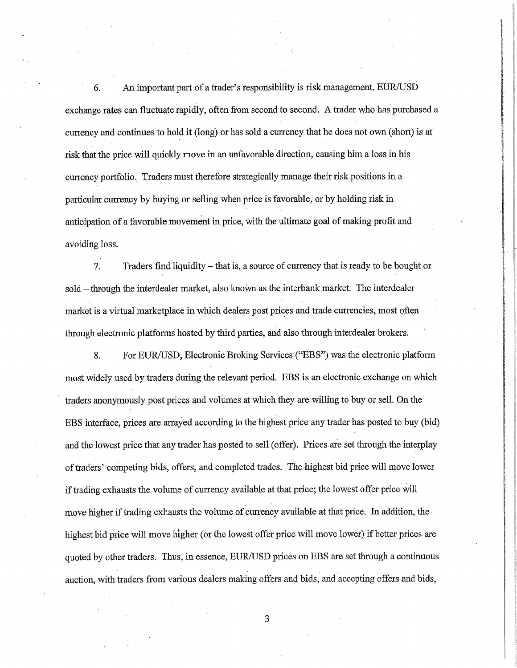6. An important part of a trader's responsibility is risk management. BUR/USD exchange rates can fluctuate rapidly, often from second to second. A trader who has purchased a currency and continues to hold it (long) or has sold a currency that he does not own (short) is at risk that the price will quickly move in an unfavorable direction, causing him a loss in his currency portfolio. Traders must therefore strategically manage their risk positions in a particular currency by buying or selling when price is favorable, or by holding risk in anticipation of a favorable movement in price, with the ultimate goal of making profit and avoiding loss.

7. Traders find liquidity — that is, a source of currency that is ready to be bought or sold – through the interdealer market, also known as the interbank market. The interdealer market is a virtual marketplace in which dealers post prices and trade currencies, most often through electronic platforms hosted by third parties, and also through interdealer brokers.

8. For EUR/USD, Electronic Broking Services ("EBS") was the electronic platform most widely used by traders during the relevant period. EBS is an electronic exchange on which traders anonymously post prices and volumes at which they are willing to buy or sell. On the EBS interface, prices are arrayed according to the highest price any trader has posted to buy (bid) and the lowest price that any trader has posted to sell (offer). Prices are set through the interplay of traders' competing bids, offers, and completed trades. The highest bid price will move lower if trading exhausts the volume of currency available at that price; the lowest offer price will move higher if trading exhausts the volume of currency available at that price. In addition, the highest bid price will move higher (or the lowest offer price will move lower) if better prices are quoted by other traders. Thus, in essence, EUR/USD prices on EBS are set through a continuous auction, with traders from various dealers making offers and bids, and accepting offers and bids,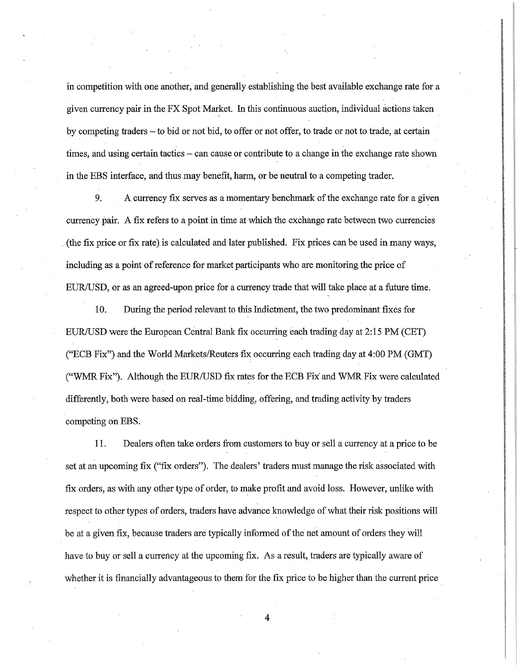in competition with one another, and generally establishing the best available exchange rate for a given currency pair in the FX Spot Market. In this continuous auction, individual actions taken by competing traders — to bid or not bid, to offer or not offer, to trade or not to trade, at certain times, and using certain tactics — can cause or contribute to a change in the exchange rate shown in the EBS interface, and thus may benefit, harm, or be neutral to a competing trader.

9. A currency fix serves as a momentary benchmark of the exchange rate for a given currency pair. A fix refers to a point in time at which the exchange rate between two currencies (the fix price or fix rate) is calculated and later published. Fix prices can be used in many ways, including as a point of reference for market participants who are monitoring the price of EUR/USD, or as an agreed-upon price for a currency trade that will take place at a future time.

10. During the period relevant to this Indictment, the two predominant fixes for EURJUSD were the European Central Bank fix occurring each trading day at 2:15 PM (CET) ("ECB Fix") and the World Markets/Reuters fix occurring each trading day at 4:00 PM (GMT) ("WMR Fix"). Although the EUR/USD fix rates for the ECB Fix and WMR Fix were calculated differently, both were based on real-time bidding, offering, and trading activity by traders competing on EBS.

11. Dealers often take orders from customers to buy or sell a currency at a price to be set at an upcoming fix ("fix orders"). The dealers' traders must manage the risk associated with fix orders, as with any other type of order, to make profit and avoid loss. However, unlike with respect to other types of orders, traders have advance knowledge of what their risk positions will be at a given fix, because traders are typically informed of the net amount of orders they will have to buy or sell a currency at the upcoming fix. As a result, traders are typically aware of whether it is financially advantageous to them for the fix price to be higher than the current price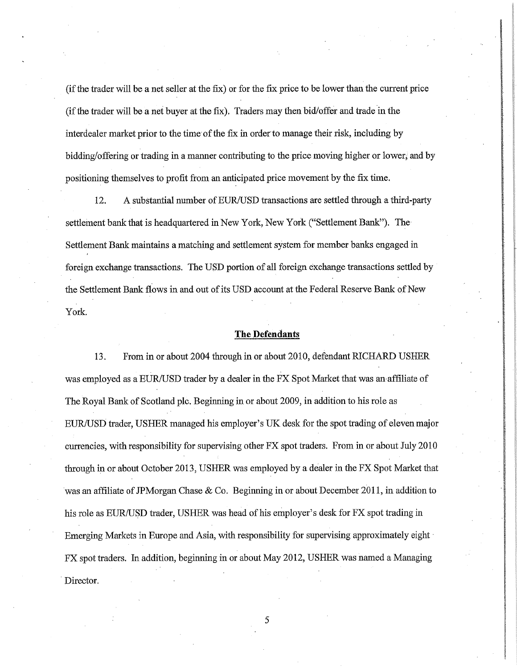(if the trader will be a net seller at the fix) or for the fix price to be lower than the current price (if the trader will be a net buyer at the fix). Traders may then bid/offer and trade in the interdealer market prior to the time of the fix in order to manage their risk, including by bidding/offering or trading in a manner contributing to the price moving higher or lower, and by positioning themselves to profit from an anticipated price movement by the fix time.

12. A substantial number of EUR/USD transactions are settled through a third-party settlement bank that is headquartered in New York, New York ("Settlement Bank"). The Settlement Bank maintains a matching and settlement system for member banks engaged in foreign exchange transactions. The USD portion of all foreign exchange transactions settled by the Settlement Bank flows in and out of its USD account at the Federal Reserve Bank of New York.

### **The Defendants**

13. From in or about 2004 through in or about 2010, defendant RICHARD USHER was employed as a EUR/USD trader by a dealer in the FX Spot Market that was an affiliate of The Royal Bank of Scotland plc. Beginning in or about 2009, in addition to his role as BUR/USD trader, USHER managed his employer's UK desk for the spot trading of eleven major currencies, with responsibility for supervising other FX spot traders. From in or about July 2010 through in or about October 2013, USHER was employed by a dealer in the FX Spot Market that •was an affiliate of JPMorgan Chase & Co. Beginning in or about December 2011, in addition to his role as EUR/USD trader, USHER was head of his employer's desk for FX spot trading in Emerging Markets in Europe and Asia, with responsibility for supervising approximately eight FX spot traders. In addition, beginning in or about May 2012, USHER was named a Managing Director.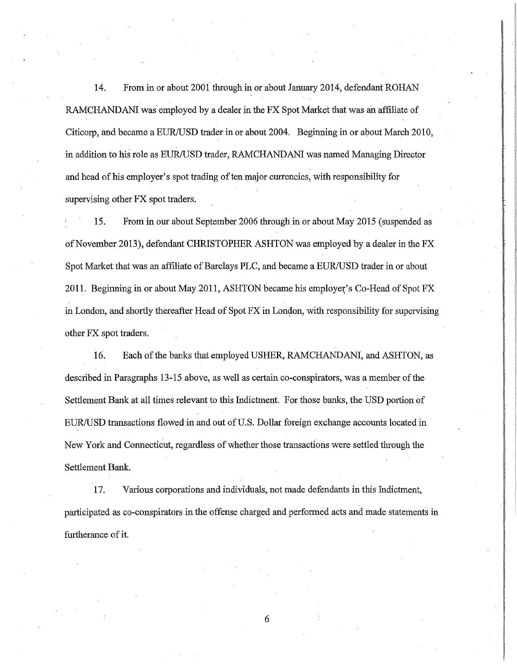14. From in or about 2001 through in or about January 2014, defendant ROHAN RAMCHANDANI was employed by a dealer in the FX Spot Market that was an affiliate of Citicorp, and became a EUR/USD trader in or about 2004. Beginning in or about March 2010, in addition to his role as EUR/USD trader, RAMCHANDANI was named Managing Director and head of his employer's spot trading of ten major currencies, with responsibility for supervising other FX spot traders.

15. From in our about September 2006 through in or about May 2015 (suspended as of November 2013), defendant CHRISTOPHER ASHTON was employed by a dealer in the FX Spot Market that was an affiliate of Barclays PLC, and became a EURJUSD trader in or about 2011. Beginning in or about May 2011, ASHTON became his employq's Co-Head of Spot FX in London, and shortly thereafter Head of Spot FX in London, with responsibility for supervising other FX spot traders.

16. Each of the banks that employed USHER, RAMCHANDANI, and ASHTON, as described in Paragraphs 13-15 above, as well as certain co-conspirators, was a member of the Settlement Bank at all times relevant to this Indictment. For those banks, the USD portion of EUR/USD transactions flowed in and out of U.S. Dollar foreign exchange accounts located in New York and Connecticut, regardless of whether those transactions were settled through the Settlement Bank,

17. Various corporations and individuals, not made defendants in this Indictment, participated as co-conspirators in the offense charged and performed acts and made statements in furtherance of it.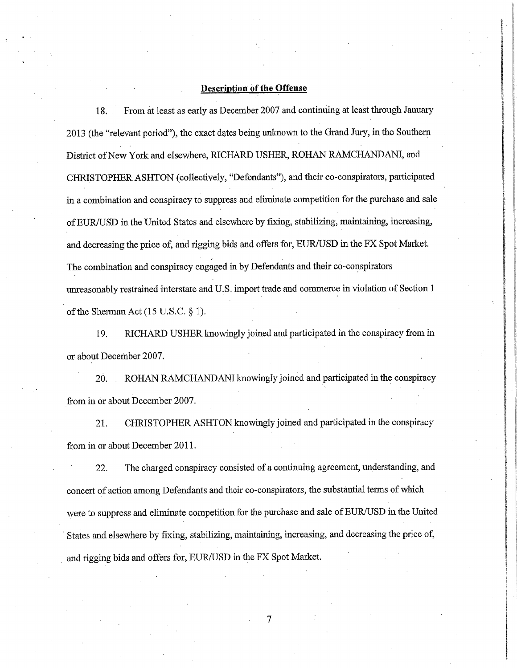## Description of the Offense

18. From at least as early as December 2007 and continuing at least through January 2013 (the "relevant period"), the exact dates being unknown to the Grand Jury, in the Southern District of New York and elsewhere, RICHARD USHER, ROHAN RAMCHANDANI, and CHRISTOPHER ASHTON (collectively, "Defendants"), and their co-conspirators, participated in a combination and conspiracy to suppress and eliminate competition for the purchase and sale of BUR/USD in the United States and elsewhere by fixing, stabilizing, maintaining, increasing, and decreasing the price of, and rigging bids and offers for, EUR/USD in the FX Spot Market. The combination and conspiracy engaged in by Defendants and their co-conspirators unreasonably restrained interstate and U.S. import trade and commerce in violation of Section 1 of the Sherman Act  $(15 \text{ U.S.C.} \S 1)$ .

19, RICHARD USHER knowingly joined and participated in the conspiracy from in or about December 2007.

20. ROHAN RAMCHANDANI knowingly joined and participated in the conspiracy from in or about December 2007,

21. CHRISTOPHER ASHTON knowingly joined and participated in the conspiracy from in or about December 2011.

22. The charged conspiracy consisted of a continuing agreement, understanding, and concert of action among Defendants and their co-conspirators, the substantial terms of which were to suppress and eliminate competition for the purchase and sale of EUR/USD in the United • States and elsewhere by fixing, stabilizing, maintaining, increasing, and decreasing the price of, and rigging bids and offers for, EUR/USD in the FX Spot Market. •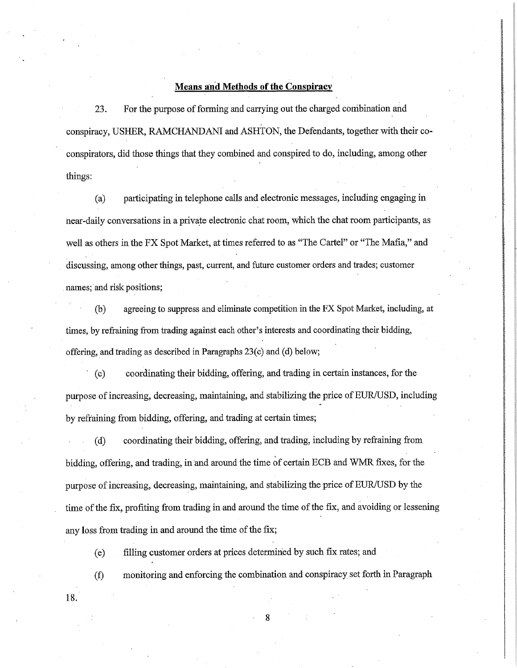## **Means and Methods of the Conspiracy**

23. For the purpose of forming and carrying out the charged combination and conspiracy, USHER, RAMCHANDANI and ASHTON, the Defendants, together with their coconspirators, did those things that they combined and conspired to do, including, among other things:

(a) participating in telephone calls and electronic messages, including engaging in near-daily conversations in a private electronic chat room, which the chat room participants, as well as others in the FX Spot Market, at times referred to as "The Cartel" or "The Mafia," and discussing, among other things, past, current, and future customer orders and trades; customer names; and risk positions;

(b) agreeing to suppress and eliminate competition in the FX Spot Market, including, at times, by refraining from trading against each other's interests and coordinating their bidding, offering, and trading as described in Paragraphs 23(c) and (d) below;

(c) coordinating their bidding, offering, and trading in certain instances, for the purpose of increasing, decreasing, maintaining, and stabilizing the price of EUR/USD, including by refraining from bidding, offering, and trading at certain times;

(d) coordinating their bidding, offering, and trading, including by refraining from bidding, offering, and trading, in and around the time of certain ECB and WMR fixes, for the purpose of increasing, decreasing, maintaining, and stabilizing the price of EUR/USD by the time of the fix, profiting from trading in and around the time of the fix, and avoiding or lessening any loss from trading in and around the time of the fix;

(e) filling customer orders at prices determined by such fix rates; and

(f) monitoring and enforcing the combination and conspiracy, set forth in Paragraph

8

18.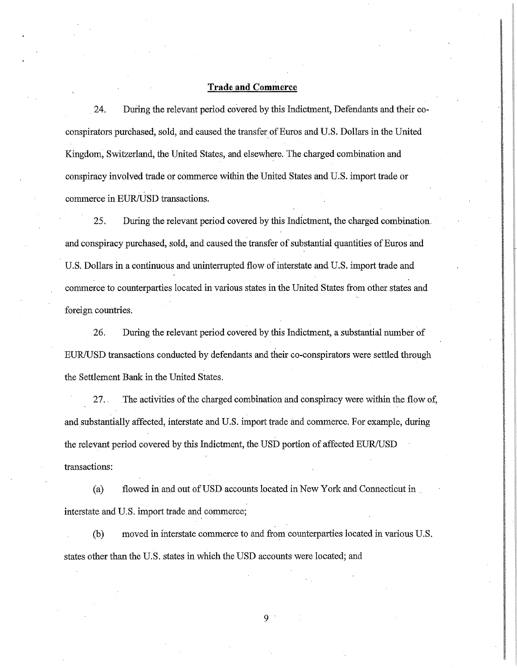#### Trade and Commerce

24. During the relevant period covered by this Indictment, Defendants and their coconspirators purchased, sold, and caused the transfer of Euros and U.S. Dollars in the United Kingdom, Switzerland, the United States, and elsewhere. The charged combination and conspiracy involved trade or commerce within the United States and U.S. import trade or commerce in EUR/USD transactions.

25. During the relevant period covered by this Indictment, the charged combination and conspiracy purchased, sold, and caused the transfer of substantial quantities of Euros and U.S. Dollars in a continuous and uninterrupted flow of interstate and U.S. import trade and commerce to counterparties located in various states in the United States from other states and foreign countries.

26. During the relevant period covered by this Indictment, a substantial number of EUR/USD transactions conducted by defendants and their co-conspirators were settled through the Settlement Bank in the United States.

27. The activities of the charged combination and conspiracy were within the flow of, and substantially affected, interstate and U.S. import trade and commerce. For example, during the relevant period covered by this Indictment, the USD portion of affected EUR/USD transactions:

(a) flowed in and out of USD accounts located in New York and Connecticut in interstate and U.S. import trade and commerce;

(b) moved in interstate commerce to and from counterparties located in various U.S. states other than the U.S, states in which the USD accounts were located; and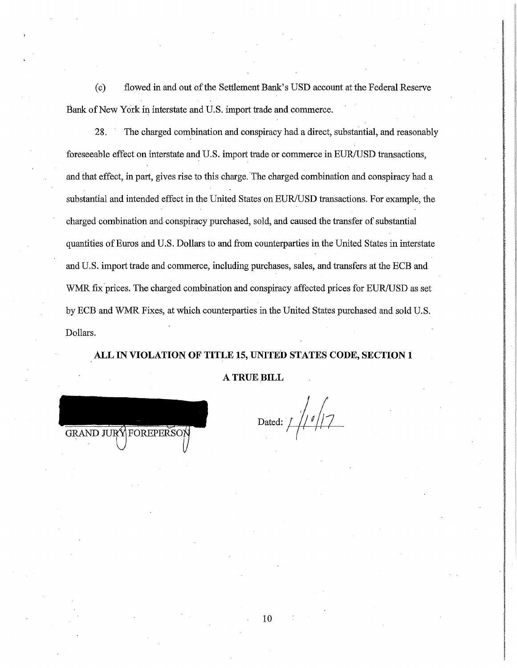(c) flowed in and out of the Settlement Bank's USD account at the Federal Reserve Bank of New York in interstate and U.S. import trade and commerce.

28. The charged combination and conspiracy had a direct, substantial, and reasonably foreseeable effect on interstate and U.S. import trade or commerce in EUR/USD transactions, and that effect, in part, gives rise to this charge. The charged combination and conspiracy had a substantial and intended effect in the United States on EUR/USD transactions. For example, the charged combination and conspiracy purchased, sold, and caused the transfer of substantial quantities of Euros and U.S. Dollars to and from counterparties in the United States in interstate and U.S. import trade and commerce, including purchases, sales, and transfers at the ECB and WMR fix prices. The charged combination and conspiracy affected prices for EUR/USD as set by ECB and WMR Fixes, at which counterpatties in the United States purchased and sold U.S. Dollars,

**ALL IN VIOLATION OF TITLE 15, UNITED STATES CODE, SECTION 1** 

**A TRUE BILL** 

GRAND JURY FOREPERSON

Dated:  $\int$  /  $\int$  / 7